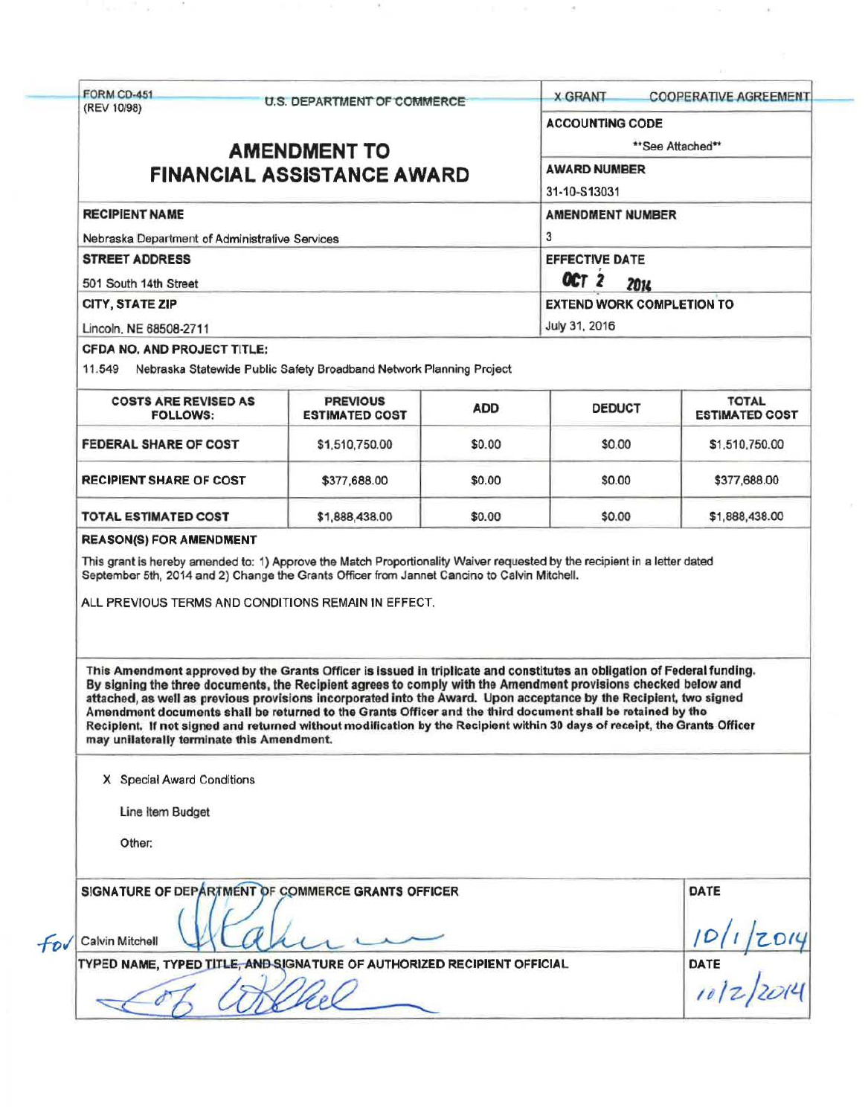|                                                                                                                                                                                                                                                                                                                                                                                                                                                                                                                                                                                                             |                                          |            |                                                                                   | <b>COOPERATIVE AGREEMENT</b>             |  |                                                                                                                  |  |  |                                  |  |
|-------------------------------------------------------------------------------------------------------------------------------------------------------------------------------------------------------------------------------------------------------------------------------------------------------------------------------------------------------------------------------------------------------------------------------------------------------------------------------------------------------------------------------------------------------------------------------------------------------------|------------------------------------------|------------|-----------------------------------------------------------------------------------|------------------------------------------|--|------------------------------------------------------------------------------------------------------------------|--|--|----------------------------------|--|
| <b>FORM CD-451</b>                                                                                                                                                                                                                                                                                                                                                                                                                                                                                                                                                                                          | U.S. DEPARTMENT OF COMMERCE              |            | <b>X GRANT</b>                                                                    |                                          |  |                                                                                                                  |  |  |                                  |  |
| (REV 10/98)                                                                                                                                                                                                                                                                                                                                                                                                                                                                                                                                                                                                 |                                          |            | <b>ACCOUNTING CODE</b>                                                            |                                          |  |                                                                                                                  |  |  |                                  |  |
|                                                                                                                                                                                                                                                                                                                                                                                                                                                                                                                                                                                                             | <b>AMENDMENT TO</b>                      |            |                                                                                   | **See Attached**                         |  |                                                                                                                  |  |  |                                  |  |
|                                                                                                                                                                                                                                                                                                                                                                                                                                                                                                                                                                                                             |                                          |            |                                                                                   |                                          |  |                                                                                                                  |  |  |                                  |  |
| <b>FINANCIAL ASSISTANCE AWARD</b>                                                                                                                                                                                                                                                                                                                                                                                                                                                                                                                                                                           |                                          |            | <b>AWARD NUMBER</b><br>31-10-S13031                                               |                                          |  |                                                                                                                  |  |  |                                  |  |
|                                                                                                                                                                                                                                                                                                                                                                                                                                                                                                                                                                                                             |                                          |            |                                                                                   |                                          |  |                                                                                                                  |  |  |                                  |  |
| <b>RECIPIENT NAME</b><br>Nebraska Department of Administrative Services<br><b>STREET ADDRESS</b><br>501 South 14th Street                                                                                                                                                                                                                                                                                                                                                                                                                                                                                   |                                          |            | <b>AMENDMENT NUMBER</b><br>3<br><b>EFFECTIVE DATE</b><br>OCT <sub>2</sub><br>2014 |                                          |  |                                                                                                                  |  |  |                                  |  |
|                                                                                                                                                                                                                                                                                                                                                                                                                                                                                                                                                                                                             |                                          |            |                                                                                   |                                          |  | CITY, STATE ZIP                                                                                                  |  |  | <b>EXTEND WORK COMPLETION TO</b> |  |
|                                                                                                                                                                                                                                                                                                                                                                                                                                                                                                                                                                                                             |                                          |            |                                                                                   |                                          |  | Lincoln, NE 68508-2711                                                                                           |  |  | July 31, 2016                    |  |
|                                                                                                                                                                                                                                                                                                                                                                                                                                                                                                                                                                                                             |                                          |            |                                                                                   |                                          |  | <b>CFDA NO. AND PROJECT TITLE:</b><br>11.549 Nebraska Statewide Public Safety Broadband Network Planning Project |  |  |                                  |  |
| <b>COSTS ARE REVISED AS</b><br><b>FOLLOWS:</b>                                                                                                                                                                                                                                                                                                                                                                                                                                                                                                                                                              | <b>PREVIOUS</b><br><b>ESTIMATED COST</b> | <b>ADD</b> | <b>DEDUCT</b>                                                                     | <b>TOTAL</b><br><b>ESTIMATED COST</b>    |  |                                                                                                                  |  |  |                                  |  |
| <b>FEDERAL SHARE OF COST</b>                                                                                                                                                                                                                                                                                                                                                                                                                                                                                                                                                                                | \$1,510,750.00                           | \$0.00     | \$0.00                                                                            | \$1,510,750.00                           |  |                                                                                                                  |  |  |                                  |  |
| <b>RECIPIENT SHARE OF COST</b>                                                                                                                                                                                                                                                                                                                                                                                                                                                                                                                                                                              | \$377,688.00                             | \$0.00     | \$0.00                                                                            | \$377,688.00                             |  |                                                                                                                  |  |  |                                  |  |
|                                                                                                                                                                                                                                                                                                                                                                                                                                                                                                                                                                                                             |                                          |            |                                                                                   |                                          |  |                                                                                                                  |  |  |                                  |  |
| <b>TOTAL ESTIMATED COST</b><br><b>REASON(S) FOR AMENDMENT</b><br>This grant is hereby amended to: 1) Approve the Match Proportionality Waiver requested by the recipient in a letter dated<br>September 5th, 2014 and 2) Change the Grants Officer from Jannet Cancino to Calvin Mitchell.<br>ALL PREVIOUS TERMS AND CONDITIONS REMAIN IN EFFECT.                                                                                                                                                                                                                                                           | \$1,888,438.00                           | \$0.00     | \$0.00                                                                            | \$1,888,438.00                           |  |                                                                                                                  |  |  |                                  |  |
| This Amendment approved by the Grants Officer is issued in triplicate and constitutes an obligation of Federal funding.<br>By signing the three documents, the Recipient agrees to comply with the Amendment provisions checked below and<br>attached, as well as previous provisions incorporated into the Award. Upon acceptance by the Recipient, two signed<br>Amendment documents shall be returned to the Grants Officer and the third document shall be retained by the<br>Recipient. If not signed and returned without modification by the Recipient within 30 days of receipt, the Grants Officer |                                          |            |                                                                                   |                                          |  |                                                                                                                  |  |  |                                  |  |
| may unilaterally terminate this Amendment.<br>X Special Award Conditions                                                                                                                                                                                                                                                                                                                                                                                                                                                                                                                                    |                                          |            |                                                                                   |                                          |  |                                                                                                                  |  |  |                                  |  |
| Line Item Budget                                                                                                                                                                                                                                                                                                                                                                                                                                                                                                                                                                                            |                                          |            |                                                                                   |                                          |  |                                                                                                                  |  |  |                                  |  |
| Other:                                                                                                                                                                                                                                                                                                                                                                                                                                                                                                                                                                                                      |                                          |            |                                                                                   |                                          |  |                                                                                                                  |  |  |                                  |  |
| SIGNATURE OF DEPARTMENT OF COMMERCE GRANTS OFFICER                                                                                                                                                                                                                                                                                                                                                                                                                                                                                                                                                          |                                          |            |                                                                                   | DATE                                     |  |                                                                                                                  |  |  |                                  |  |
| Calvin Mitchell                                                                                                                                                                                                                                                                                                                                                                                                                                                                                                                                                                                             |                                          |            |                                                                                   |                                          |  |                                                                                                                  |  |  |                                  |  |
| TYPED NAME, TYPED TITLE, AND SIGNATURE OF AUTHORIZED RECIPIENT OFFICIAL                                                                                                                                                                                                                                                                                                                                                                                                                                                                                                                                     |                                          |            |                                                                                   | $\frac{10}{10}$ / $\frac{1}{20}$<br>DATE |  |                                                                                                                  |  |  |                                  |  |

 $\sim$